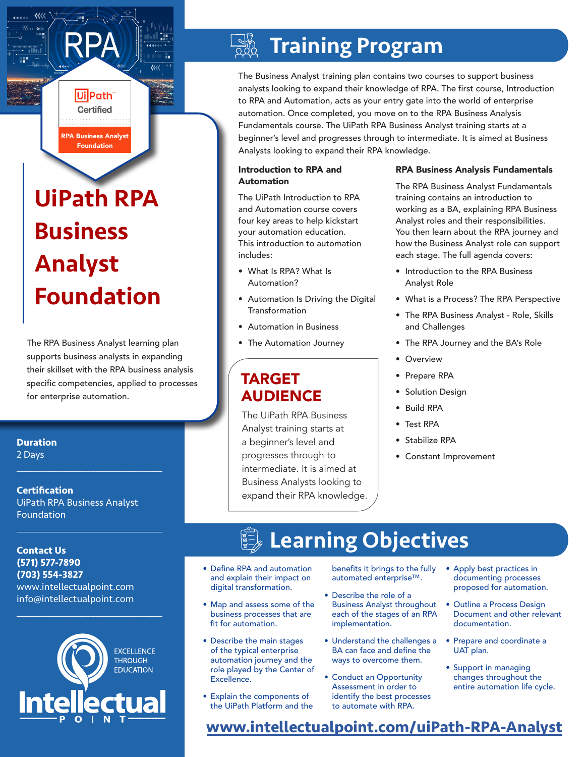# UiPath RPA Business Analyst Foundation

RPA Business Analyst Foundation

Ui Path® Certified

 $\overline{\mathcal{U}}$ 

The RPA Business Analyst learning plan supports business analysts in expanding their skillset with the RPA business analysis specific competencies, applied to processes for enterprise automation.

**Duration**

2 Days

**Certification** UiPath RPA Business Analyst Foundation

 $\mathcal{L}_\text{max}$  and  $\mathcal{L}_\text{max}$  and  $\mathcal{L}_\text{max}$  and  $\mathcal{L}_\text{max}$ 

 $\mathcal{L}_\text{max}$  and  $\mathcal{L}_\text{max}$  and  $\mathcal{L}_\text{max}$  and  $\mathcal{L}_\text{max}$ 

**Contact Us (571) 577-7890 (703) 554-3827** www.intellectualpoint.com info@intellectualpoint.com



 $\mathcal{L}_\text{max}$  and  $\mathcal{L}_\text{max}$  and  $\mathcal{L}_\text{max}$  and  $\mathcal{L}_\text{max}$ 

# Training Program

The Business Analyst training plan contains two courses to support business analysts looking to expand their knowledge of RPA. The first course, Introduction to RPA and Automation, acts as your entry gate into the world of enterprise automation. Once completed, you move on to the RPA Business Analysis Fundamentals course. The UiPath RPA Business Analyst training starts at a beginner's level and progresses through to intermediate. It is aimed at Business Analysts looking to expand their RPA knowledge.

### Introduction to RPA and Automation

The UiPath Introduction to RPA and Automation course covers four key areas to help kickstart your automation education. This introduction to automation includes:

- What Is RPA? What Is Automation?
- Automation Is Driving the Digital Transformation
- Automation in Business
- The Automation Journey

### TARGET AUDIENCE

The UiPath RPA Business Analyst training starts at a beginner's level and progresses through to intermediate. It is aimed at Business Analysts looking to expand their RPA knowledge.

### RPA Business Analysis Fundamentals

The RPA Business Analyst Fundamentals training contains an introduction to working as a BA, explaining RPA Business Analyst roles and their responsibilities. You then learn about the RPA journey and how the Business Analyst role can support each stage. The full agenda covers:

- Introduction to the RPA Business Analyst Role
- What is a Process? The RPA Perspective
- The RPA Business Analyst Role, Skills and Challenges
- The RPA Journey and the BA's Role
- Overview
- Prepare RPA
- Solution Design
- Build RPA
- Test RPA
- Stabilize RPA
- Constant Improvement

# Learning Objectives

- Define RPA and automation and explain their impact on digital transformation.
- Map and assess some of the business processes that are fit for automation.
- Describe the main stages of the typical enterprise automation journey and the role played by the Center of Excellence.
- Explain the components of the UiPath Platform and the

benefits it brings to the fully automated enterprise™.

- Describe the role of a Business Analyst throughout each of the stages of an RPA implementation.
- Understand the challenges a BA can face and define the ways to overcome them.
- Conduct an Opportunity Assessment in order to identify the best processes to automate with RPA.
- Apply best practices in documenting processes proposed for automation.
- Outline a Process Design Document and other relevant documentation.
- Prepare and coordinate a UAT plan.
- Support in managing changes throughout the entire automation life cycle.

**[www.intellectualpoint.com/](https://intellectualpoint.com/product/uipath-rpa-business-analyst-foundation/)uiPath-RPA-Analyst**